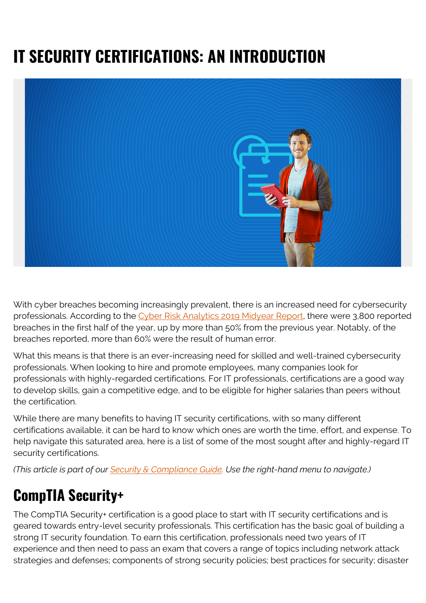# **IT SECURITY CERTIFICATIONS: AN INTRODUCTION**



With cyber breaches becoming increasingly prevalent, there is an increased need for cybersecurity professionals. According to the [Cyber Risk Analytics 2019 Midyear Report,](https://pages.riskbasedsecurity.com/2019-midyear-data-breach-quickview-report) there were 3,800 reported breaches in the first half of the year, up by more than 50% from the previous year. Notably, of the breaches reported, more than 60% were the result of human error.

What this means is that there is an ever-increasing need for skilled and well-trained cybersecurity professionals. When looking to hire and promote employees, many companies look for professionals with highly-regarded certifications. For IT professionals, certifications are a good way to develop skills, gain a competitive edge, and to be eligible for higher salaries than peers without the certification.

While there are many benefits to having IT security certifications, with so many different certifications available, it can be hard to know which ones are worth the time, effort, and expense. To help navigate this saturated area, here is a list of some of the most sought after and highly-regard IT security certifications.

*(This article is part of our [Security & Compliance Guide](https://blogs.bmc.com/blogs/security-introduction/). Use the right-hand menu to navigate.)*

#### **CompTIA Security+**

The CompTIA Security+ certification is a good place to start with IT security certifications and is geared towards entry-level security professionals. This certification has the basic goal of building a strong IT security foundation. To earn this certification, professionals need two years of IT experience and then need to pass an exam that covers a range of topics including network attack strategies and defenses; components of strong security policies; best practices for security; disaster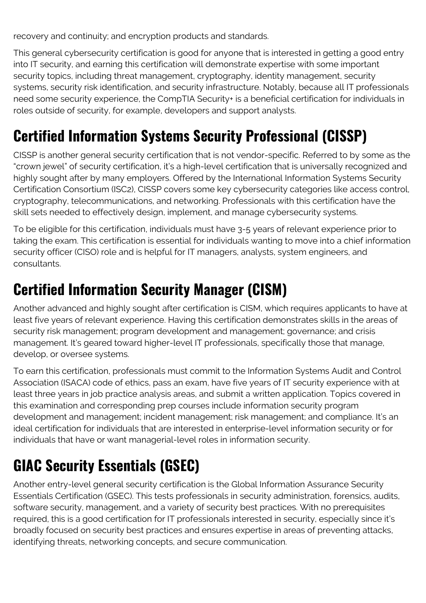recovery and continuity; and encryption products and standards.

This general cybersecurity certification is good for anyone that is interested in getting a good entry into IT security, and earning this certification will demonstrate expertise with some important security topics, including threat management, cryptography, identity management, security systems, security risk identification, and security infrastructure. Notably, because all IT professionals need some security experience, the CompTIA Security+ is a beneficial certification for individuals in roles outside of security, for example, developers and support analysts.

## **Certified Information Systems Security Professional (CISSP)**

CISSP is another general security certification that is not vendor-specific. Referred to by some as the "crown jewel" of security certification, it's a high-level certification that is universally recognized and highly sought after by many employers. Offered by the International Information Systems Security Certification Consortium (ISC2), CISSP covers some key cybersecurity categories like access control, cryptography, telecommunications, and networking. Professionals with this certification have the skill sets needed to effectively design, implement, and manage cybersecurity systems.

To be eligible for this certification, individuals must have 3-5 years of relevant experience prior to taking the exam. This certification is essential for individuals wanting to move into a chief information security officer (CISO) role and is helpful for IT managers, analysts, system engineers, and consultants.

### **Certified Information Security Manager (CISM)**

Another advanced and highly sought after certification is CISM, which requires applicants to have at least five years of relevant experience. Having this certification demonstrates skills in the areas of security risk management; program development and management; governance; and crisis management. It's geared toward higher-level IT professionals, specifically those that manage, develop, or oversee systems.

To earn this certification, professionals must commit to the Information Systems Audit and Control Association (ISACA) code of ethics, pass an exam, have five years of IT security experience with at least three years in job practice analysis areas, and submit a written application. Topics covered in this examination and corresponding prep courses include information security program development and management; incident management; risk management; and compliance. It's an ideal certification for individuals that are interested in enterprise-level information security or for individuals that have or want managerial-level roles in information security.

# **GIAC Security Essentials (GSEC)**

Another entry-level general security certification is the Global Information Assurance Security Essentials Certification (GSEC). This tests professionals in security administration, forensics, audits, software security, management, and a variety of security best practices. With no prerequisites required, this is a good certification for IT professionals interested in security, especially since it's broadly focused on security best practices and ensures expertise in areas of preventing attacks, identifying threats, networking concepts, and secure communication.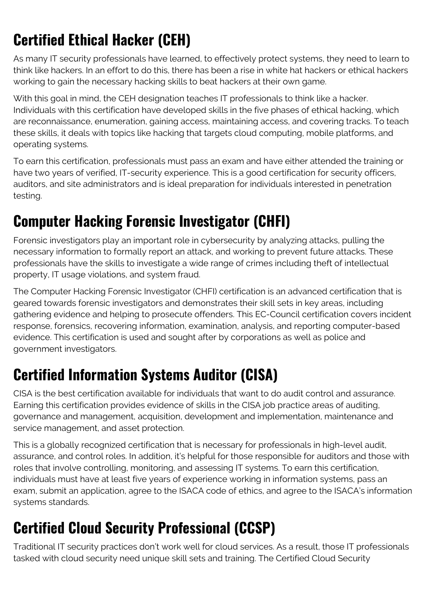# **Certified Ethical Hacker (CEH)**

As many IT security professionals have learned, to effectively protect systems, they need to learn to think like hackers. In an effort to do this, there has been a rise in white hat hackers or ethical hackers working to gain the necessary hacking skills to beat hackers at their own game.

With this goal in mind, the CEH designation teaches IT professionals to think like a hacker. Individuals with this certification have developed skills in the five phases of ethical hacking, which are reconnaissance, enumeration, gaining access, maintaining access, and covering tracks. To teach these skills, it deals with topics like hacking that targets cloud computing, mobile platforms, and operating systems.

To earn this certification, professionals must pass an exam and have either attended the training or have two years of verified, IT-security experience. This is a good certification for security officers, auditors, and site administrators and is ideal preparation for individuals interested in penetration testing.

### **Computer Hacking Forensic Investigator (CHFI)**

Forensic investigators play an important role in cybersecurity by analyzing attacks, pulling the necessary information to formally report an attack, and working to prevent future attacks. These professionals have the skills to investigate a wide range of crimes including theft of intellectual property, IT usage violations, and system fraud.

The Computer Hacking Forensic Investigator (CHFI) certification is an advanced certification that is geared towards forensic investigators and demonstrates their skill sets in key areas, including gathering evidence and helping to prosecute offenders. This EC-Council certification covers incident response, forensics, recovering information, examination, analysis, and reporting computer-based evidence. This certification is used and sought after by corporations as well as police and government investigators.

### **Certified Information Systems Auditor (CISA)**

CISA is the best certification available for individuals that want to do audit control and assurance. Earning this certification provides evidence of skills in the CISA job practice areas of auditing, governance and management, acquisition, development and implementation, maintenance and service management, and asset protection.

This is a globally recognized certification that is necessary for professionals in high-level audit, assurance, and control roles. In addition, it's helpful for those responsible for auditors and those with roles that involve controlling, monitoring, and assessing IT systems. To earn this certification, individuals must have at least five years of experience working in information systems, pass an exam, submit an application, agree to the ISACA code of ethics, and agree to the ISACA's information systems standards.

## **Certified Cloud Security Professional (CCSP)**

Traditional IT security practices don't work well for cloud services. As a result, those IT professionals tasked with cloud security need unique skill sets and training. The Certified Cloud Security